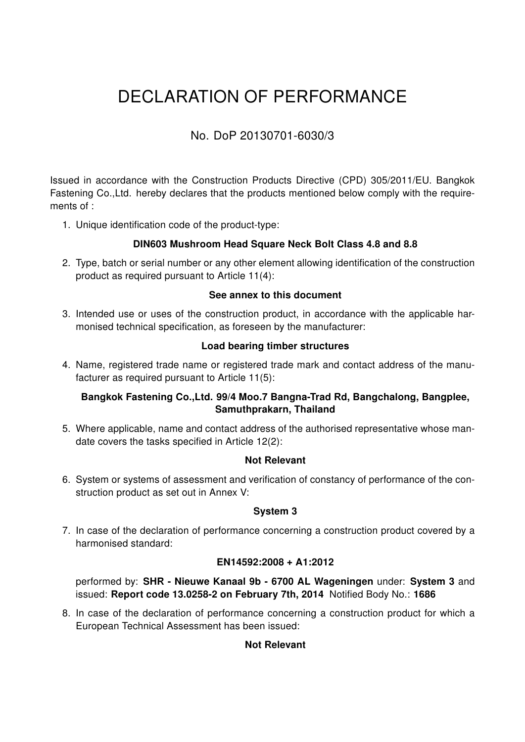# DECLARATION OF PERFORMANCE

## No. DoP 20130701-6030/3

Issued in accordance with the Construction Products Directive (CPD) 305/2011/EU. Bangkok Fastening Co.,Ltd. hereby declares that the products mentioned below comply with the requirements of :

1. Unique identification code of the product-type:

#### DIN603 Mushroom Head Square Neck Bolt Class 4.8 and 8.8

2. Type, batch or serial number or any other element allowing identification of the construction product as required pursuant to Article 11(4):

#### See annex to this document

3. Intended use or uses of the construction product, in accordance with the applicable harmonised technical specification, as foreseen by the manufacturer:

#### Load bearing timber structures

4. Name, registered trade name or registered trade mark and contact address of the manufacturer as required pursuant to Article 11(5):

#### Bangkok Fastening Co.,Ltd. 99/4 Moo.7 Bangna-Trad Rd, Bangchalong, Bangplee, Samuthprakarn, Thailand

5. Where applicable, name and contact address of the authorised representative whose mandate covers the tasks specified in Article 12(2):

#### Not Relevant

6. System or systems of assessment and verification of constancy of performance of the construction product as set out in Annex V:

#### System 3

7. In case of the declaration of performance concerning a construction product covered by a harmonised standard:

#### EN14592:2008 + A1:2012

performed by: SHR - Nieuwe Kanaal 9b - 6700 AL Wageningen under: System 3 and issued: Report code 13.0258-2 on February 7th, 2014 Notified Body No.: 1686

8. In case of the declaration of performance concerning a construction product for which a European Technical Assessment has been issued:

#### Not Relevant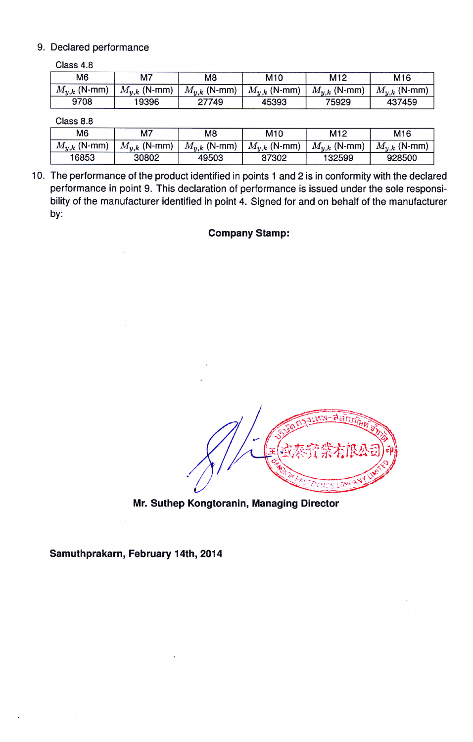#### 9. Declared performance

| Class 4.8        |                  |                  |                  |                  |                  |
|------------------|------------------|------------------|------------------|------------------|------------------|
| M <sub>6</sub>   | M7               | M <sub>8</sub>   | M10              | M <sub>12</sub>  | M16              |
| $M_{y,k}$ (N-mm) | $M_{u,k}$ (N-mm) | $M_{y,k}$ (N-mm) | $M_{u,k}$ (N-mm) | $M_{y,k}$ (N-mm) | $M_{y,k}$ (N-mm) |
| 9708             | 19396            | 27749            | 45393            | 75929            | 437459           |

Class 8.8

| M <sub>6</sub>   | M7               | M8               | M <sub>10</sub>  | M12              | M <sub>16</sub>  |
|------------------|------------------|------------------|------------------|------------------|------------------|
| $M_{u,k}$ (N-mm) | $M_{u,k}$ (N-mm) | $M_{v,k}$ (N-mm) | $M_{y,k}$ (N-mm) | $M_{u,k}$ (N-mm) | $M_{y,k}$ (N-mm) |
| 16853            | 30802            | 49503            | 87302            | 132599           | 928500           |

10. The performance of the product identified in points 1 and 2 is in conformity with the declared performance in point 9. This declaration of performance is issued under the sole responsibility of the manufacturer identified in point 4. Signed for and on behalf of the manufacturer by:

#### Company Stamp:

Mr. Suthep Kongtoranin, Managing Director

Samuthprakarn, February 14th, 2014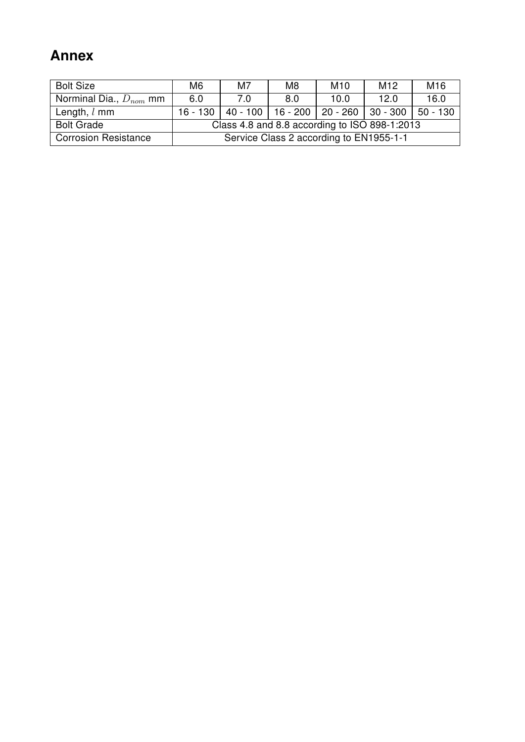## Annex

| <b>Bolt Size</b>            | M <sub>6</sub>                                | M7  | M <sub>8</sub> | M <sub>10</sub> | M <sub>12</sub>                                      | M16  |
|-----------------------------|-----------------------------------------------|-----|----------------|-----------------|------------------------------------------------------|------|
| Norminal Dia., $D_{nom}$ mm | 6.0                                           | 7.0 | 8.0            | 10.0            | 12.0                                                 | 16.0 |
| Length, $l$ mm              | $16 - 130$                                    |     |                |                 | 40 - 100   16 - 200   20 - 260   30 - 300   50 - 130 |      |
| <b>Bolt Grade</b>           | Class 4.8 and 8.8 according to ISO 898-1:2013 |     |                |                 |                                                      |      |
| <b>Corrosion Resistance</b> | Service Class 2 according to EN1955-1-1       |     |                |                 |                                                      |      |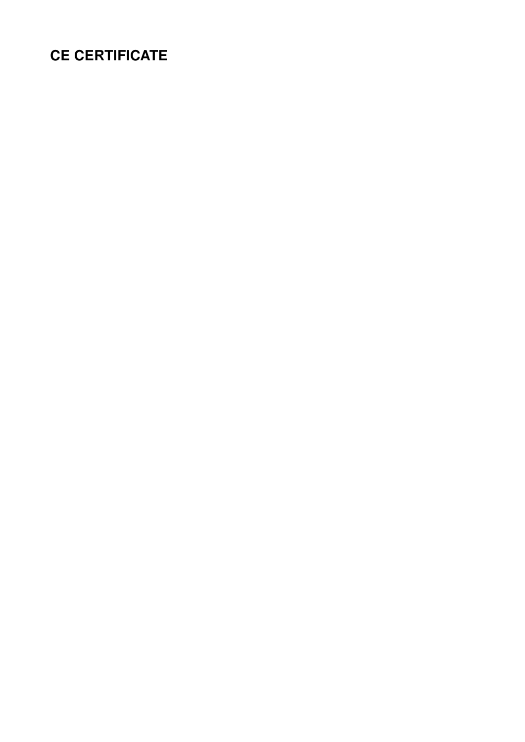## CE CERTIFICATE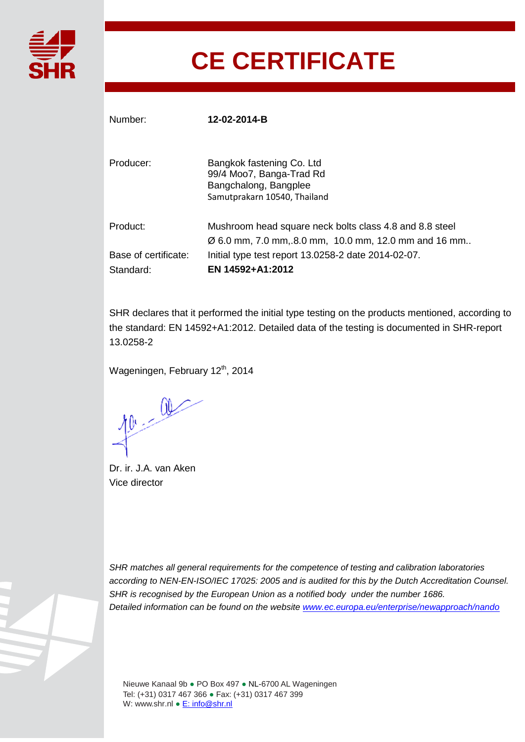

# **CE CERTIFICATE**

| Number:                           | 12-02-2014-B                                                                                                                 |
|-----------------------------------|------------------------------------------------------------------------------------------------------------------------------|
| Producer:                         | Bangkok fastening Co. Ltd<br>99/4 Moo7, Banga-Trad Rd<br>Bangchalong, Bangplee<br>Samutprakarn 10540, Thailand               |
| Product:                          | Mushroom head square neck bolts class 4.8 and 8.8 steel<br>$\varnothing$ 6.0 mm, 7.0 mm, 8.0 mm, 10.0 mm, 12.0 mm and 16 mm. |
| Base of certificate:<br>Standard: | Initial type test report 13.0258-2 date 2014-02-07.<br>EN 14592+A1:2012                                                      |

SHR declares that it performed the initial type testing on the products mentioned, according to the standard: EN 14592+A1:2012. Detailed data of the testing is documented in SHR-report 13.0258-2

Wageningen, February 12<sup>th</sup>, 2014

 $10 - 00$ 

Dr. ir. J.A. van Aken Vice director

*SHR matches all general requirements for the competence of testing and calibration laboratories according to NEN-EN-ISO/IEC 17025: 2005 and is audited for this by the Dutch Accreditation Counsel. SHR is recognised by the European Union as a notified body under the number 1686. Detailed information can be found on the website www.ec.europa.eu/enterprise/newapproach/nando*

Nieuwe Kanaal 9b ● PO Box 497 ● NL-6700 AL Wageningen Tel: (+31) 0317 467 366 ● Fax: (+31) 0317 467 399 W: www.shr.nl ● E: info@shr.nl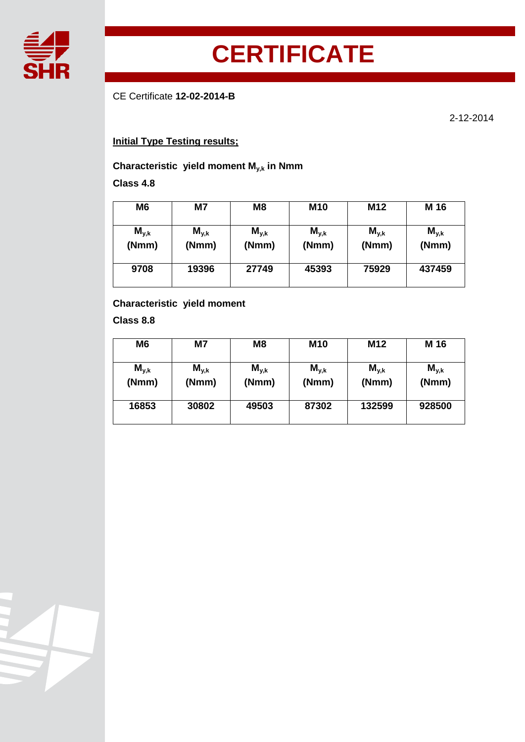

# **CERTIFICATE**

CE Certificate **12-02-2014-B**

2-12-2014

### **Initial Type Testing results;**

#### **Characteristic yield moment My,k in Nmm**

#### **Class 4.8**

| M6                 | M7                 | M <sub>8</sub>     | <b>M10</b>         | M <sub>12</sub>    | M 16               |
|--------------------|--------------------|--------------------|--------------------|--------------------|--------------------|
| $M_{y,k}$<br>(Nmm) | $M_{y,k}$<br>(Nmm) | $M_{y,k}$<br>(Nmm) | $M_{y,k}$<br>(Nmm) | $M_{y,k}$<br>(Nmm) | $M_{y,k}$<br>(Nmm) |
| 9708               | 19396              | 27749              | 45393              | 75929              | 437459             |

#### **Characteristic yield moment**

**Class 8.8**

| M6                 | M7                 | M8                 | <b>M10</b>         | M <sub>12</sub>    | M 16               |
|--------------------|--------------------|--------------------|--------------------|--------------------|--------------------|
| $M_{y,k}$<br>(Nmm) | $M_{y,k}$<br>(Nmm) | $M_{y,k}$<br>(Nmm) | $M_{y,k}$<br>(Nmm) | $M_{y,k}$<br>(Nmm) | $M_{y,k}$<br>(Nmm) |
| 16853              | 30802              | 49503              | 87302              | 132599             | 928500             |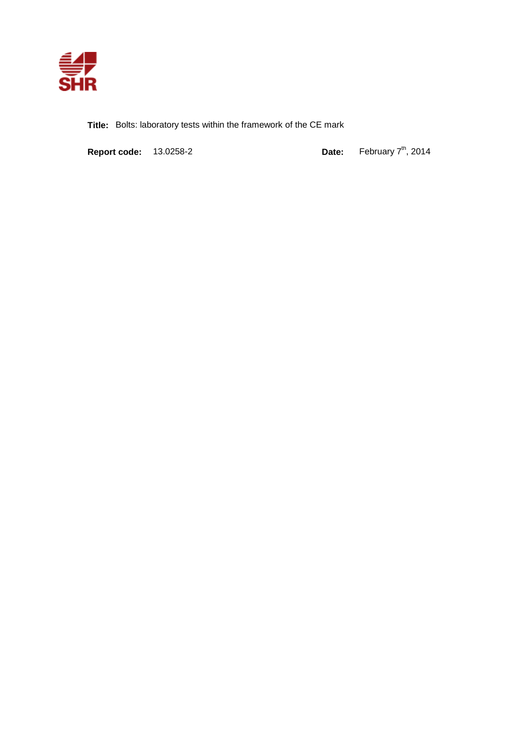

**Title:** Bolts: laboratory tests within the framework of the CE mark

**Report code:** 13.0258-2 **Date:** 

 $t^{\text{th}}$ , 2014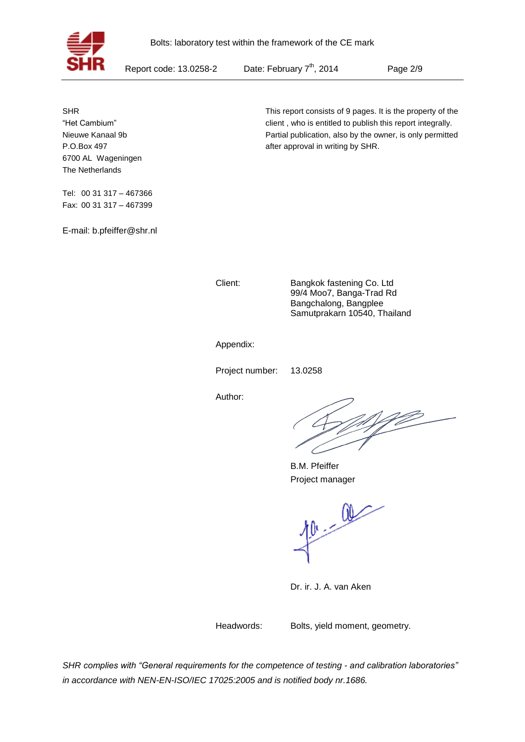

Report code: 13.0258-2

Date: February 7<sup>th</sup>, 2014

Page 2/9

SHR "Het Cambium" Nieuwe Kanaal 9b P.O.Box 497 6700 AL Wageningen The Netherlands

Tel: 00 31 317 – 467366 Fax: 00 31 317 – 467399

E-mail: b.pfeiffer@shr.nl

This report consists of 9 pages. It is the property of the client , who is entitled to publish this report integrally. Partial publication, also by the owner, is only permitted after approval in writing by SHR.

Client: Bangkok fastening Co. Ltd 99/4 Moo7, Banga-Trad Rd Bangchalong, Bangplee Samutprakarn 10540, Thailand

Appendix:

Project number: 13.0258

Author:

B.M. Pfeiffer Project manager

 $40 - 00$ 

Dr. ir. J. A. van Aken

Headwords: Bolts, yield moment, geometry.

*SHR complies with "General requirements for the competence of testing - and calibration laboratories" in accordance with NEN-EN-ISO/IEC 17025:2005 and is notified body nr.1686.*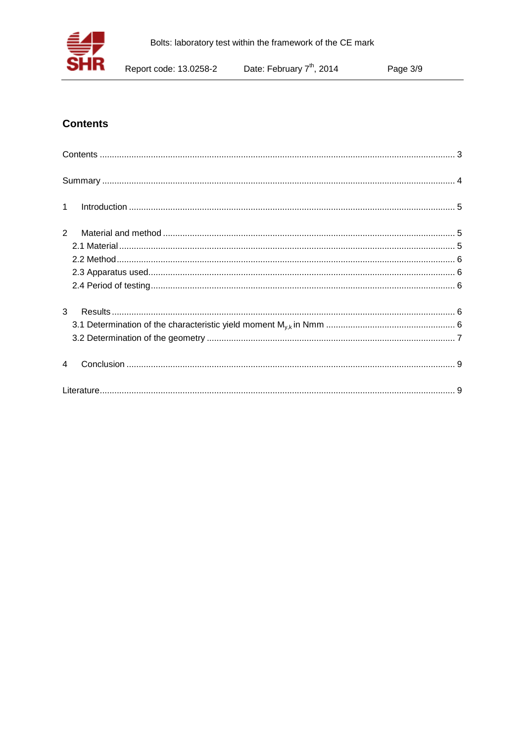

### **Contents**

| $\label{eq:1} \mbox{Introduction} \,\, \ldots \,\, \ldots \,\, \ldots \,\, \ldots \,\, \ldots \,\, \ldots \,\, \ldots \,\, \ldots \,\, \ldots \,\, \ldots \,\, \ldots \,\, \ldots \,\, \ldots \,\, \ldots \,\, \ldots \,\, \ldots \,\, \ldots \,\, \ldots \,\, \ldots \,\, \ldots \,\, \ldots \,\, \ldots \,\, \ldots \,\, \ldots \,\, \ldots \,\, \ldots \,\, \ldots \,\, \ldots \,\, \ldots \,\, \ldots \,\, \ldots \,\, \ldots \,\, \ldots \,\, \ldots \,\,$<br>$\mathbf{1}$ |  |
|---------------------------------------------------------------------------------------------------------------------------------------------------------------------------------------------------------------------------------------------------------------------------------------------------------------------------------------------------------------------------------------------------------------------------------------------------------------------------------|--|
| 2                                                                                                                                                                                                                                                                                                                                                                                                                                                                               |  |
|                                                                                                                                                                                                                                                                                                                                                                                                                                                                                 |  |
|                                                                                                                                                                                                                                                                                                                                                                                                                                                                                 |  |
|                                                                                                                                                                                                                                                                                                                                                                                                                                                                                 |  |
|                                                                                                                                                                                                                                                                                                                                                                                                                                                                                 |  |
| 3                                                                                                                                                                                                                                                                                                                                                                                                                                                                               |  |
|                                                                                                                                                                                                                                                                                                                                                                                                                                                                                 |  |
|                                                                                                                                                                                                                                                                                                                                                                                                                                                                                 |  |
|                                                                                                                                                                                                                                                                                                                                                                                                                                                                                 |  |
|                                                                                                                                                                                                                                                                                                                                                                                                                                                                                 |  |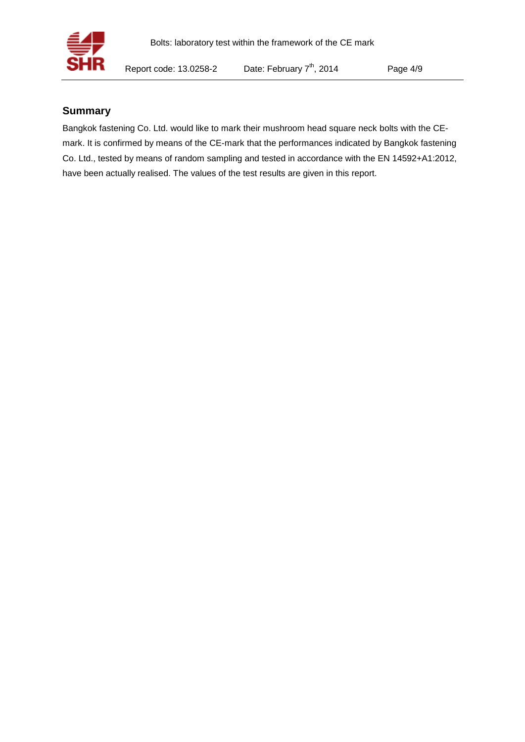

#### **Summary**

Bangkok fastening Co. Ltd. would like to mark their mushroom head square neck bolts with the CEmark. It is confirmed by means of the CE-mark that the performances indicated by Bangkok fastening Co. Ltd., tested by means of random sampling and tested in accordance with the EN 14592+A1:2012, have been actually realised. The values of the test results are given in this report.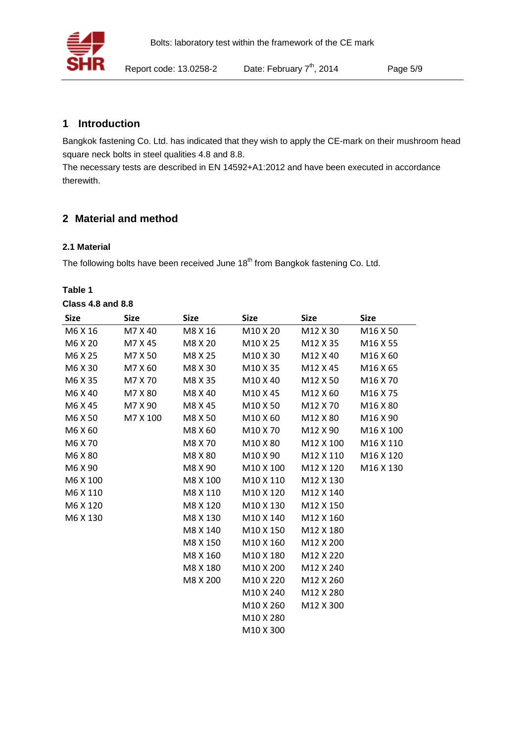

#### **1 Introduction**

Bangkok fastening Co. Ltd. has indicated that they wish to apply the CE-mark on their mushroom head square neck bolts in steel qualities 4.8 and 8.8.

The necessary tests are described in EN 14592+A1:2012 and have been executed in accordance therewith.

#### **2 Material and method**

#### **2.1 Material**

The following bolts have been received June 18<sup>th</sup> from Bangkok fastening Co. Ltd.

#### **Table 1**

| <b>Size</b> | <b>Size</b> | <b>Size</b> | <b>Size</b>           | <b>Size</b>           | <b>Size</b>           |
|-------------|-------------|-------------|-----------------------|-----------------------|-----------------------|
| M6 X 16     | M7 X 40     | M8 X 16     | M10 X 20              | M12 X 30              | M16 X 50              |
| M6 X 20     | M7 X 45     | M8 X 20     | M10 X 25              | M12 X 35              | M16 X 55              |
| M6 X 25     | M7 X 50     | M8 X 25     | M10 X 30              | M12 X 40              | M16 X 60              |
| M6 X 30     | M7 X 60     | M8 X 30     | M10 X 35              | M12 X 45              | M <sub>16</sub> X 65  |
| M6 X 35     | M7 X 70     | M8 X 35     | M10 X 40              | M12 X 50              | M <sub>16</sub> X 70  |
| M6 X 40     | M7 X 80     | M8 X 40     | M10 X 45              | M12 X 60              | M <sub>16</sub> X 75  |
| M6 X 45     | M7 X 90     | M8 X 45     | M <sub>10</sub> X 50  | M <sub>12</sub> X 70  | M <sub>16</sub> X 80  |
| M6 X 50     | M7 X 100    | M8 X 50     | M10 X 60              | M12 X 80              | M16 X 90              |
| M6 X 60     |             | M8 X 60     | M10 X 70              | M12 X 90              | M <sub>16</sub> X 100 |
| M6 X 70     |             | M8 X 70     | M10 X 80              | M12 X 100             | M <sub>16</sub> X 110 |
| M6 X 80     |             | M8 X 80     | M10 X 90              | M12 X 110             | M <sub>16</sub> X 120 |
| M6 X 90     |             | M8 X 90     | M10 X 100             | M12 X 120             | M <sub>16</sub> X 130 |
| M6 X 100    |             | M8 X 100    | M10 X 110             | M12 X 130             |                       |
| M6 X 110    |             | M8 X 110    | M10 X 120             | M12 X 140             |                       |
| M6 X 120    |             | M8 X 120    | M10 X 130             | M12 X 150             |                       |
| M6 X 130    |             | M8 X 130    | M10 X 140             | M <sub>12</sub> X 160 |                       |
|             |             | M8 X 140    | M10 X 150             | M12 X 180             |                       |
|             |             | M8 X 150    | M10 X 160             | M12 X 200             |                       |
|             |             | M8 X 160    | M <sub>10</sub> X 180 | M12 X 220             |                       |
|             |             | M8 X 180    | M10 X 200             | M12 X 240             |                       |
|             |             | M8 X 200    | M10 X 220             | M12 X 260             |                       |
|             |             |             | M10 X 240             | M12 X 280             |                       |
|             |             |             | M10 X 260             | M12 X 300             |                       |
|             |             |             | M10 X 280             |                       |                       |
|             |             |             | M10 X 300             |                       |                       |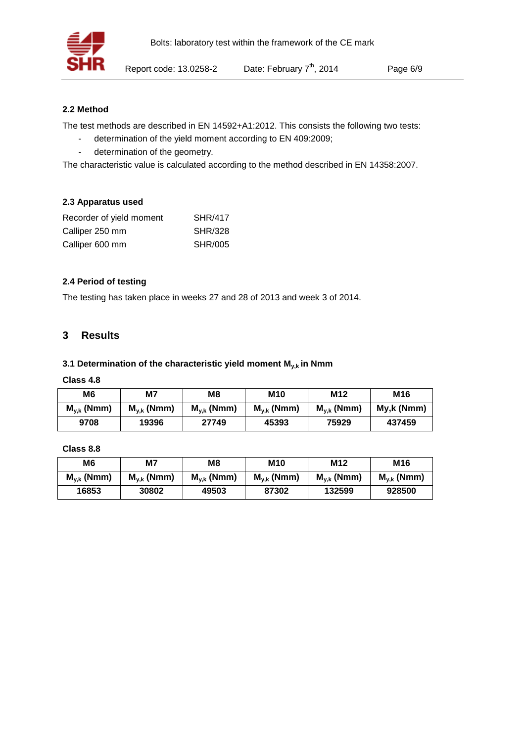#### **2.2 Method**

The test methods are described in EN 14592+A1:2012. This consists the following two tests:

- determination of the yield moment according to EN 409:2009;
- determination of the geometry.

The characteristic value is calculated according to the method described in EN 14358:2007.

#### **2.3 Apparatus used**

| Recorder of yield moment | <b>SHR/417</b> |
|--------------------------|----------------|
| Calliper 250 mm          | <b>SHR/328</b> |
| Calliper 600 mm          | <b>SHR/005</b> |

#### **2.4 Period of testing**

The testing has taken place in weeks 27 and 28 of 2013 and week 3 of 2014.

#### **3 Results**

#### **3.1 Determination of the characteristic yield moment My,k in Nmm**

#### **Class 4.8**

| M6              | M7              | M <sub>8</sub>  | <b>M10</b>      | M <sub>12</sub> | M16         |
|-----------------|-----------------|-----------------|-----------------|-----------------|-------------|
| $M_{v,k}$ (Nmm) | $M_{v,k}$ (Nmm) | $M_{v,k}$ (Nmm) | $M_{v,k}$ (Nmm) | $M_{v,k}$ (Nmm) | My, k (Nmm) |
| 9708            | 19396           | 27749           | 45393           | 75929           | 437459      |

#### **Class 8.8**

| M6              | M7              | M8              | <b>M10</b>      | M12             | M16             |
|-----------------|-----------------|-----------------|-----------------|-----------------|-----------------|
| $M_{v,k}$ (Nmm) | $M_{v,k}$ (Nmm) | $M_{v,k}$ (Nmm) | $M_{v,k}$ (Nmm) | $M_{v,k}$ (Nmm) | $M_{v,k}$ (Nmm) |
| 16853           | 30802           | 49503           | 87302           | 132599          | 928500          |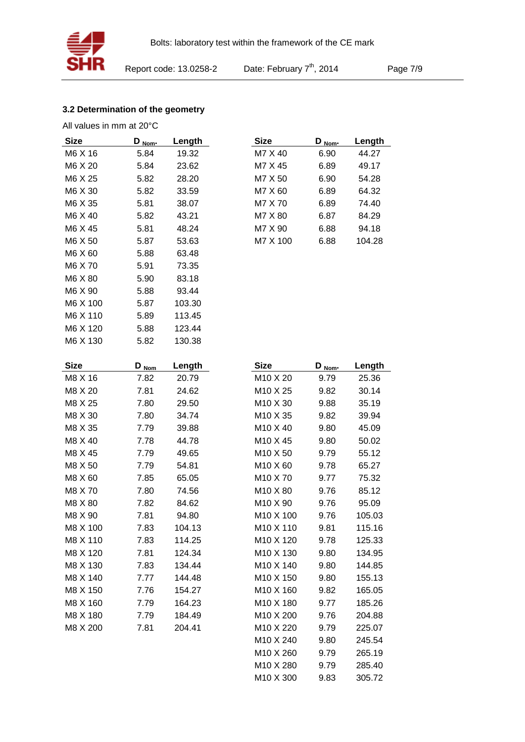

Page 7/9

#### **3.2 Determination of the geometry**

All values in mm at 20°C

| Size        | <u>D<sub>Nom</sub></u> | Length | <b>Size</b>           | <u>D<sub>Nom</sub></u> | Length |
|-------------|------------------------|--------|-----------------------|------------------------|--------|
| M6 X 16     | 5.84                   | 19.32  | M7 X 40               | 6.90                   | 44.27  |
| M6 X 20     | 5.84                   | 23.62  | M7 X 45               | 6.89                   | 49.17  |
| M6 X 25     | 5.82                   | 28.20  | M7 X 50               | 6.90                   | 54.28  |
| M6 X 30     | 5.82                   | 33.59  | M7 X 60               | 6.89                   | 64.32  |
| M6 X 35     | 5.81                   | 38.07  | M7 X 70               | 6.89                   | 74.40  |
| M6 X 40     | 5.82                   | 43.21  | M7 X 80               | 6.87                   | 84.29  |
| M6 X 45     | 5.81                   | 48.24  | M7 X 90               | 6.88                   | 94.18  |
| M6 X 50     | 5.87                   | 53.63  | M7 X 100              | 6.88                   | 104.28 |
| M6 X 60     | 5.88                   | 63.48  |                       |                        |        |
| M6 X 70     | 5.91                   | 73.35  |                       |                        |        |
| M6 X 80     | 5.90                   | 83.18  |                       |                        |        |
| M6 X 90     | 5.88                   | 93.44  |                       |                        |        |
| M6 X 100    | 5.87                   | 103.30 |                       |                        |        |
| M6 X 110    | 5.89                   | 113.45 |                       |                        |        |
| M6 X 120    | 5.88                   | 123.44 |                       |                        |        |
| M6 X 130    | 5.82                   | 130.38 |                       |                        |        |
| <b>Size</b> | $D_{\text{nom}}$       | Length | <b>Size</b>           | $D_{\text{Nom}}$       | Length |
| M8 X 16     | 7.82                   | 20.79  | M <sub>10</sub> X 20  | 9.79                   | 25.36  |
| M8 X 20     | 7.81                   | 24.62  | M10 X 25              | 9.82                   | 30.14  |
| M8 X 25     | 7.80                   | 29.50  | M10 X 30              | 9.88                   | 35.19  |
| M8 X 30     | 7.80                   | 34.74  | M10 X 35              | 9.82                   | 39.94  |
| M8 X 35     | 7.79                   | 39.88  | M10 X 40              | 9.80                   | 45.09  |
| M8 X 40     | 7.78                   | 44.78  | M10 X 45              | 9.80                   | 50.02  |
| M8 X 45     | 7.79                   | 49.65  | M10 X 50              | 9.79                   | 55.12  |
| M8 X 50     | 7.79                   | 54.81  | M10 X 60              | 9.78                   | 65.27  |
| M8 X 60     | 7.85                   | 65.05  | M10 X 70              | 9.77                   | 75.32  |
| M8 X 70     | 7.80                   | 74.56  | M10 X 80              | 9.76                   | 85.12  |
| M8 X 80     | 7.82                   | 84.62  | M10 X 90              | 9.76                   | 95.09  |
| M8 X 90     | 7.81                   | 94.80  | M10 X 100             | 9.76                   | 105.03 |
| M8 X 100    | 7.83                   | 104.13 | M10 X 110             | 9.81                   | 115.16 |
| M8 X 110    | 7.83                   | 114.25 | M <sub>10</sub> X 120 | 9.78                   | 125.33 |
| M8 X 120    | 7.81                   | 124.34 | M10 X 130             | 9.80                   | 134.95 |
| M8 X 130    | 7.83                   | 134.44 | M10 X 140             | 9.80                   | 144.85 |
| M8 X 140    | 7.77                   | 144.48 | M <sub>10</sub> X 150 | 9.80                   | 155.13 |
| M8 X 150    | 7.76                   | 154.27 | M10 X 160             | 9.82                   | 165.05 |
| M8 X 160    | 7.79                   | 164.23 | M10 X 180             | 9.77                   | 185.26 |
| M8 X 180    | 7.79                   | 184.49 | M10 X 200             | 9.76                   | 204.88 |
| M8 X 200    | 7.81                   | 204.41 | M10 X 220             | 9.79                   | 225.07 |
|             |                        |        | M10 X 240             | 9.80                   | 245.54 |
|             |                        |        | M <sub>10</sub> X 260 | 9.79                   | 265.19 |
|             |                        |        | M <sub>10</sub> X 280 | 9.79                   | 285.40 |

| Size     | $D_{\text{Norm}}$ | Length |
|----------|-------------------|--------|
| M7 X 40  | 6.90              | 44.27  |
| M7 X 45  | 6.89              | 49.17  |
| M7 X 50  | 6.90              | 54.28  |
| M7 X 60  | 6.89              | 64.32  |
| M7 X 70  | 6.89              | 74.40  |
| M7 X 80  | 6.87              | 84.29  |
| M7 X 90  | 6.88              | 94.18  |
| M7 X 100 | 6.88              | 104.28 |
|          |                   |        |

| Size                             | D.<br>Nom- | Length |
|----------------------------------|------------|--------|
| M <sub>10</sub> X 20             | 9.79       | 25.36  |
| M10 X 25                         | 9.82       | 30.14  |
| M <sub>10</sub> X 30             | 9.88       | 35.19  |
| M <sub>10</sub> X 35             | 9.82       | 39.94  |
| M <sub>10</sub> X 40             | 9.80       | 45.09  |
| M <sub>10</sub> X 45             | 9.80       | 50.02  |
| M10 X 50                         | 9.79       | 55.12  |
| M10 X 60                         | 9.78       | 65.27  |
| M <sub>10</sub> X 70             | 9.77       | 75.32  |
| M10 X 80                         | 9.76       | 85.12  |
| M <sub>10</sub> X 90             | 9.76       | 95.09  |
| M <sub>10</sub> X <sub>100</sub> | 9.76       | 105.03 |
| M <sub>10</sub> X 110            | 9.81       | 115.16 |
| M <sub>10</sub> X 120            | 9.78       | 125.33 |
| M10 X 130                        | 9.80       | 134.95 |
| M10 X 140                        | 9.80       | 144.85 |
| M <sub>10</sub> X 150            | 9.80       | 155.13 |
| M <sub>10</sub> X 160            | 9.82       | 165.05 |
| M <sub>10</sub> X 180            | 9.77       | 185.26 |
| M <sub>10</sub> X 200            | 9.76       | 204.88 |
| M <sub>10</sub> X 220            | 9.79       | 225.07 |
| M <sub>10</sub> X 240            | 9.80       | 245.54 |
| M10 X 260                        | 9.79       | 265.19 |
| M <sub>10</sub> X 280            | 9.79       | 285.40 |
| M10 X 300                        | 9.83       | 305.72 |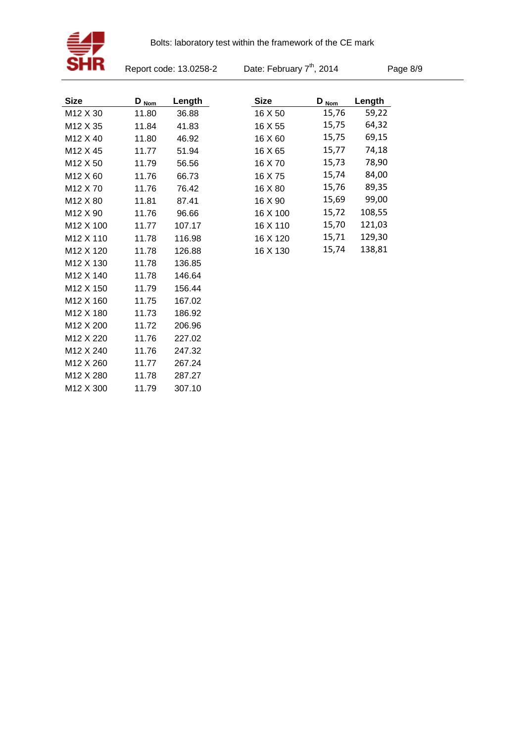

Report code: 13.0258-2

Date: February 7<sup>th</sup>, 2014

Page 8/9

| <b>Size</b>           | $D_{\text{Norm}}$ | Length | <b>Size</b> | $D_{\text{Nom}}$ | Length |
|-----------------------|-------------------|--------|-------------|------------------|--------|
| M12 X 30              | 11.80             | 36.88  | 16 X 50     | 15,76            | 59,22  |
| M <sub>12</sub> X 35  | 11.84             | 41.83  | 16 X 55     | 15,75            | 64,32  |
| M <sub>12</sub> X 40  | 11.80             | 46.92  | 16 X 60     | 15,75            | 69,15  |
| M <sub>12</sub> X 45  | 11.77             | 51.94  | 16 X 65     | 15,77            | 74,18  |
| M <sub>12</sub> X 50  | 11.79             | 56.56  | 16 X 70     | 15,73            | 78,90  |
| M <sub>12</sub> X 60  | 11.76             | 66.73  | 16 X 75     | 15,74            | 84,00  |
| M <sub>12</sub> X 70  | 11.76             | 76.42  | 16 X 80     | 15,76            | 89,35  |
| M <sub>12</sub> X 80  | 11.81             | 87.41  | 16 X 90     | 15,69            | 99,00  |
| M <sub>12</sub> X 90  | 11.76             | 96.66  | 16 X 100    | 15,72            | 108,55 |
| M <sub>12</sub> X 100 | 11.77             | 107.17 | 16 X 110    | 15,70            | 121,03 |
| M <sub>12</sub> X 110 | 11.78             | 116.98 | 16 X 120    | 15,71            | 129,30 |
| M <sub>12</sub> X 120 | 11.78             | 126.88 | 16 X 130    | 15,74            | 138,81 |
| M <sub>12</sub> X 130 | 11.78             | 136.85 |             |                  |        |
| M <sub>12</sub> X 140 | 11.78             | 146.64 |             |                  |        |
| M <sub>12</sub> X 150 | 11.79             | 156.44 |             |                  |        |
| M <sub>12</sub> X 160 | 11.75             | 167.02 |             |                  |        |
| M12 X 180             | 11.73             | 186.92 |             |                  |        |
| M <sub>12</sub> X 200 | 11.72             | 206.96 |             |                  |        |
| M <sub>12</sub> X 220 | 11.76             | 227.02 |             |                  |        |
| M <sub>12</sub> X 240 | 11.76             | 247.32 |             |                  |        |
| M <sub>12</sub> X 260 | 11.77             | 267.24 |             |                  |        |
| M <sub>12</sub> X 280 | 11.78             | 287.27 |             |                  |        |
| M <sub>12</sub> X 300 | 11.79             | 307.10 |             |                  |        |